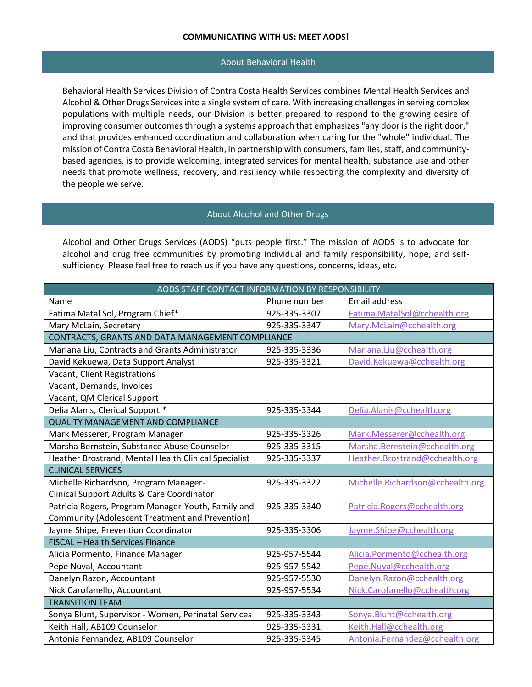## About Behavioral Health

Behavioral Health Services Division of Contra Costa Health Services combines Mental Health Services and Alcohol & Other Drugs Services into a single system of care. With increasing challenges in serving complex populations with multiple needs, our Division is better prepared to respond to the growing desire of improving consumer outcomes through a systems approach that emphasizes "any door is the right door," and that provides enhanced coordination and collaboration when caring for the "whole" individual. The mission of Contra Costa Behavioral Health, in partnership with consumers, families, staff, and communitybased agencies, is to provide welcoming, integrated services for mental health, substance use and other needs that promote wellness, recovery, and resiliency while respecting the complexity and diversity of the people we serve.

## About Alcohol and Other Drugs

Alcohol and Other Drugs Services (AODS) "puts people first." The mission of AODS is to advocate for alcohol and drug free communities by promoting individual and family responsibility, hope, and selfsufficiency. Please feel free to reach us if you have any questions, concerns, ideas, etc.

| AODS STAFF CONTACT INFORMATION BY RESPONSIBILITY     |              |                                  |  |
|------------------------------------------------------|--------------|----------------------------------|--|
| Name                                                 | Phone number | <b>Email address</b>             |  |
| Fatima Matal Sol, Program Chief*                     | 925-335-3307 | Fatima.MatalSol@cchealth.org     |  |
| Mary McLain, Secretary                               | 925-335-3347 | Mary.McLain@cchealth.org         |  |
| CONTRACTS, GRANTS AND DATA MANAGEMENT COMPLIANCE     |              |                                  |  |
| Mariana Liu, Contracts and Grants Administrator      | 925-335-3336 | Mariana.Liu@cchealth.org         |  |
| David Kekuewa, Data Support Analyst                  | 925-335-3321 | David.Kekuewa@cchealth.org       |  |
| Vacant, Client Registrations                         |              |                                  |  |
| Vacant, Demands, Invoices                            |              |                                  |  |
| Vacant, QM Clerical Support                          |              |                                  |  |
| Delia Alanis, Clerical Support *                     | 925-335-3344 | Delia.Alanis@cchealth.org        |  |
| <b>QUALITY MANAGEMENT AND COMPLIANCE</b>             |              |                                  |  |
| Mark Messerer, Program Manager                       | 925-335-3326 | Mark.Messerer@cchealth.org       |  |
| Marsha Bernstein, Substance Abuse Counselor          | 925-335-3315 | Marsha.Bernstein@cchealth.org    |  |
| Heather Brostrand, Mental Health Clinical Specialist | 925-335-3337 | Heather.Brostrand@cchealth.org   |  |
| <b>CLINICAL SERVICES</b>                             |              |                                  |  |
| Michelle Richardson, Program Manager-                | 925-335-3322 | Michelle.Richardson@cchealth.org |  |
| Clinical Support Adults & Care Coordinator           |              |                                  |  |
| Patricia Rogers, Program Manager-Youth, Family and   | 925-335-3340 | Patricia.Rogers@cchealth.org     |  |
| Community (Adolescent Treatment and Prevention)      |              |                                  |  |
| Jayme Shipe, Prevention Coordinator                  | 925-335-3306 | Jayme.Shipe@cchealth.org         |  |
| FISCAL - Health Services Finance                     |              |                                  |  |
| Alicia Pormento, Finance Manager                     | 925-957-5544 | Alicia.Pormento@cchealth.org     |  |
| Pepe Nuval, Accountant                               | 925-957-5542 | Pepe.Nuval@cchealth.org          |  |
| Danelyn Razon, Accountant                            | 925-957-5530 | Danelyn.Razon@cchealth.org       |  |
| Nick Carofanello, Accountant                         | 925-957-5534 | Nick.Carofanello@cchealth.org    |  |
| <b>TRANSITION TEAM</b>                               |              |                                  |  |
| Sonya Blunt, Supervisor - Women, Perinatal Services  | 925-335-3343 | Sonya.Blunt@cchealth.org         |  |
| Keith Hall, AB109 Counselor                          | 925-335-3331 | Keith.Hall@cchealth.org          |  |
| Antonia Fernandez, AB109 Counselor                   | 925-335-3345 | Antonia.Fernandez@cchealth.org   |  |